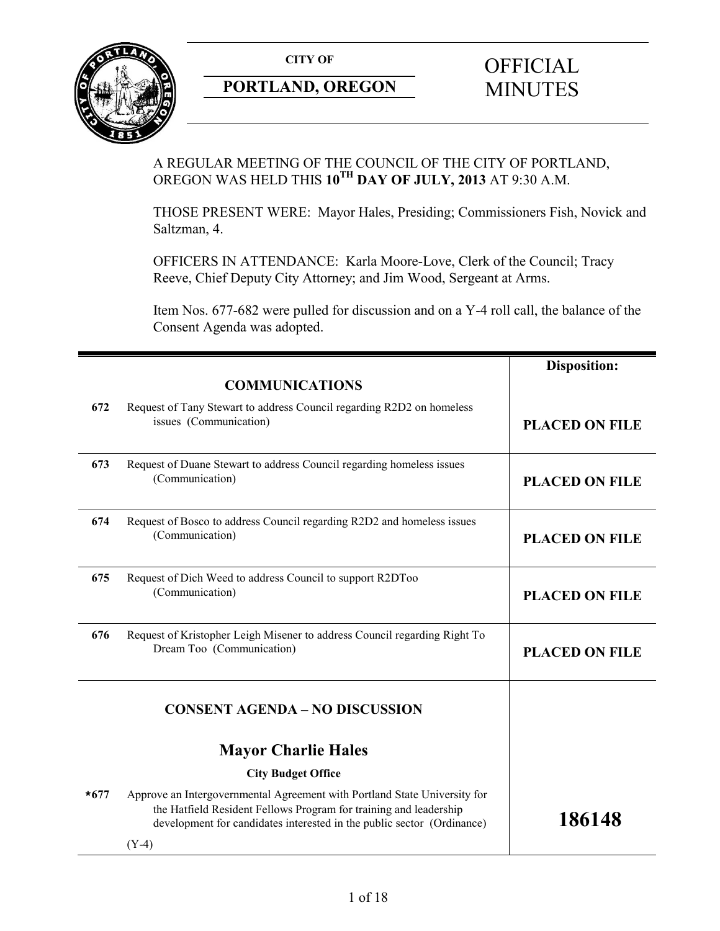

## **PORTLAND, OREGON MINUTES**

# **CITY OF** OFFICIAL

## A REGULAR MEETING OF THE COUNCIL OF THE CITY OF PORTLAND, OREGON WAS HELD THIS **10TH DAY OF JULY, 2013** AT 9:30 A.M.

THOSE PRESENT WERE: Mayor Hales, Presiding; Commissioners Fish, Novick and Saltzman, 4.

OFFICERS IN ATTENDANCE: Karla Moore-Love, Clerk of the Council; Tracy Reeve, Chief Deputy City Attorney; and Jim Wood, Sergeant at Arms.

Item Nos. 677-682 were pulled for discussion and on a Y-4 roll call, the balance of the Consent Agenda was adopted.

|        |                                                                                                                                                                                                                          | <b>Disposition:</b>   |
|--------|--------------------------------------------------------------------------------------------------------------------------------------------------------------------------------------------------------------------------|-----------------------|
|        | <b>COMMUNICATIONS</b>                                                                                                                                                                                                    |                       |
| 672    | Request of Tany Stewart to address Council regarding R2D2 on homeless<br>issues (Communication)                                                                                                                          | <b>PLACED ON FILE</b> |
| 673    | Request of Duane Stewart to address Council regarding homeless issues<br>(Communication)                                                                                                                                 | <b>PLACED ON FILE</b> |
| 674    | Request of Bosco to address Council regarding R2D2 and homeless issues<br>(Communication)                                                                                                                                | <b>PLACED ON FILE</b> |
| 675    | Request of Dich Weed to address Council to support R2DToo<br>(Communication)                                                                                                                                             | <b>PLACED ON FILE</b> |
| 676    | Request of Kristopher Leigh Misener to address Council regarding Right To<br>Dream Too (Communication)                                                                                                                   | <b>PLACED ON FILE</b> |
|        | <b>CONSENT AGENDA - NO DISCUSSION</b>                                                                                                                                                                                    |                       |
|        | <b>Mayor Charlie Hales</b>                                                                                                                                                                                               |                       |
|        | <b>City Budget Office</b>                                                                                                                                                                                                |                       |
| $*677$ | Approve an Intergovernmental Agreement with Portland State University for<br>the Hatfield Resident Fellows Program for training and leadership<br>development for candidates interested in the public sector (Ordinance) | 186148                |
|        | $(Y-4)$                                                                                                                                                                                                                  |                       |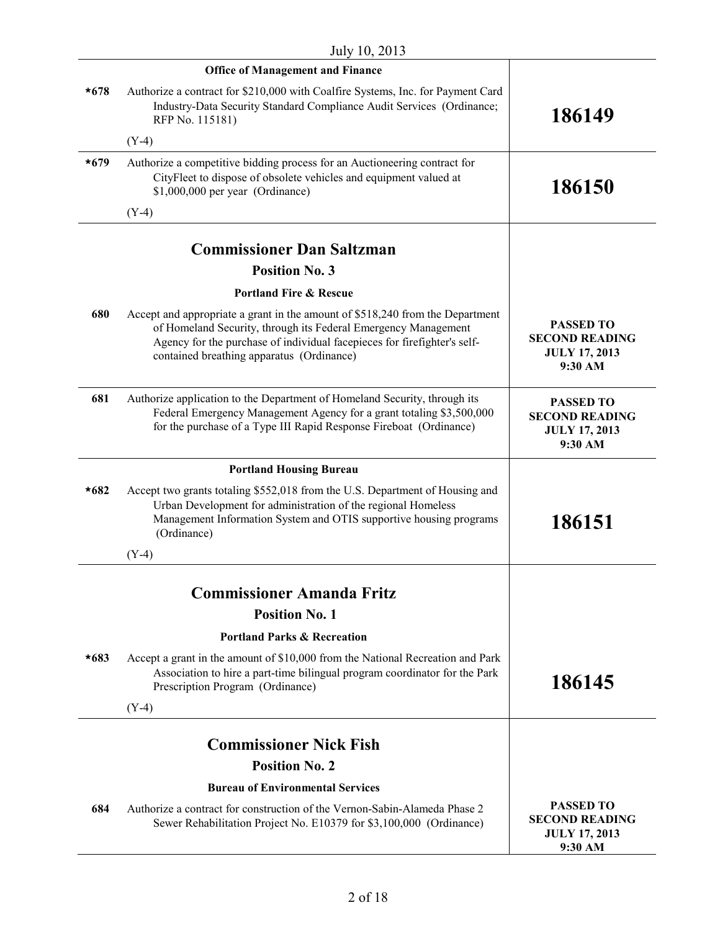|        | <b>Office of Management and Finance</b>                                                                                                                                                                                                                                  |                                                                              |
|--------|--------------------------------------------------------------------------------------------------------------------------------------------------------------------------------------------------------------------------------------------------------------------------|------------------------------------------------------------------------------|
| $*678$ | Authorize a contract for \$210,000 with Coalfire Systems, Inc. for Payment Card<br>Industry-Data Security Standard Compliance Audit Services (Ordinance;<br>RFP No. 115181)                                                                                              | 186149                                                                       |
|        | $(Y-4)$                                                                                                                                                                                                                                                                  |                                                                              |
| $*679$ | Authorize a competitive bidding process for an Auctioneering contract for<br>CityFleet to dispose of obsolete vehicles and equipment valued at<br>\$1,000,000 per year (Ordinance)                                                                                       | 186150                                                                       |
|        | $(Y-4)$                                                                                                                                                                                                                                                                  |                                                                              |
|        | <b>Commissioner Dan Saltzman</b>                                                                                                                                                                                                                                         |                                                                              |
|        | <b>Position No. 3</b>                                                                                                                                                                                                                                                    |                                                                              |
|        | <b>Portland Fire &amp; Rescue</b>                                                                                                                                                                                                                                        |                                                                              |
| 680    | Accept and appropriate a grant in the amount of \$518,240 from the Department<br>of Homeland Security, through its Federal Emergency Management<br>Agency for the purchase of individual facepieces for firefighter's self-<br>contained breathing apparatus (Ordinance) | <b>PASSED TO</b><br><b>SECOND READING</b><br><b>JULY 17, 2013</b><br>9:30 AM |
| 681    | Authorize application to the Department of Homeland Security, through its<br>Federal Emergency Management Agency for a grant totaling \$3,500,000<br>for the purchase of a Type III Rapid Response Fireboat (Ordinance)                                                  | <b>PASSED TO</b><br><b>SECOND READING</b><br><b>JULY 17, 2013</b><br>9:30 AM |
|        | <b>Portland Housing Bureau</b>                                                                                                                                                                                                                                           |                                                                              |
| $*682$ | Accept two grants totaling \$552,018 from the U.S. Department of Housing and<br>Urban Development for administration of the regional Homeless<br>Management Information System and OTIS supportive housing programs<br>(Ordinance)                                       | 186151                                                                       |
|        | $(Y-4)$                                                                                                                                                                                                                                                                  |                                                                              |
|        |                                                                                                                                                                                                                                                                          |                                                                              |
|        | <b>Commissioner Amanda Fritz</b>                                                                                                                                                                                                                                         |                                                                              |
|        | <b>Position No. 1</b>                                                                                                                                                                                                                                                    |                                                                              |
|        | <b>Portland Parks &amp; Recreation</b>                                                                                                                                                                                                                                   |                                                                              |
| $*683$ | Accept a grant in the amount of \$10,000 from the National Recreation and Park<br>Association to hire a part-time bilingual program coordinator for the Park<br>Prescription Program (Ordinance)                                                                         | 186145                                                                       |
|        | $(Y-4)$                                                                                                                                                                                                                                                                  |                                                                              |
|        | <b>Commissioner Nick Fish</b>                                                                                                                                                                                                                                            |                                                                              |
|        | <b>Position No. 2</b>                                                                                                                                                                                                                                                    |                                                                              |
|        | <b>Bureau of Environmental Services</b>                                                                                                                                                                                                                                  |                                                                              |
| 684    | Authorize a contract for construction of the Vernon-Sabin-Alameda Phase 2<br>Sewer Rehabilitation Project No. E10379 for \$3,100,000 (Ordinance)                                                                                                                         | <b>PASSED TO</b><br><b>SECOND READING</b><br><b>JULY 17, 2013</b><br>9:30 AM |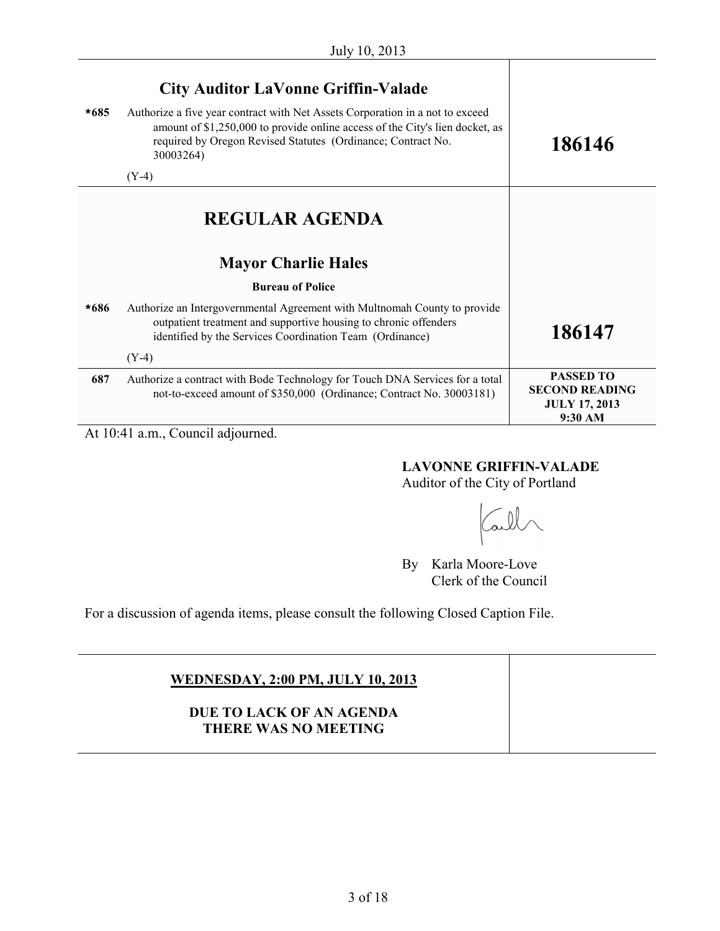| $*685$ | <b>City Auditor LaVonne Griffin-Valade</b><br>Authorize a five year contract with Net Assets Corporation in a not to exceed<br>amount of \$1,250,000 to provide online access of the City's lien docket, as<br>required by Oregon Revised Statutes (Ordinance; Contract No.<br>30003264)<br>$(Y-4)$ | 186146                                                                       |
|--------|-----------------------------------------------------------------------------------------------------------------------------------------------------------------------------------------------------------------------------------------------------------------------------------------------------|------------------------------------------------------------------------------|
|        | <b>REGULAR AGENDA</b><br><b>Mayor Charlie Hales</b>                                                                                                                                                                                                                                                 |                                                                              |
| *686   | <b>Bureau of Police</b><br>Authorize an Intergovernmental Agreement with Multnomah County to provide<br>outpatient treatment and supportive housing to chronic offenders                                                                                                                            |                                                                              |
|        | identified by the Services Coordination Team (Ordinance)<br>$(Y-4)$                                                                                                                                                                                                                                 | 186147                                                                       |
| 687    | Authorize a contract with Bode Technology for Touch DNA Services for a total<br>not-to-exceed amount of \$350,000 (Ordinance; Contract No. 30003181)                                                                                                                                                | <b>PASSED TO</b><br><b>SECOND READING</b><br><b>JULY 17, 2013</b><br>9:30 AM |

At 10:41 a.m., Council adjourned.

#### **LAVONNE GRIFFIN-VALADE**

Auditor of the City of Portland

all

By Karla Moore-Love Clerk of the Council

For a discussion of agenda items, please consult the following Closed Caption File.

## **WEDNESDAY, 2:00 PM, JULY 10, 2013**

## **DUE TO LACK OF AN AGENDA THERE WAS NO MEETING**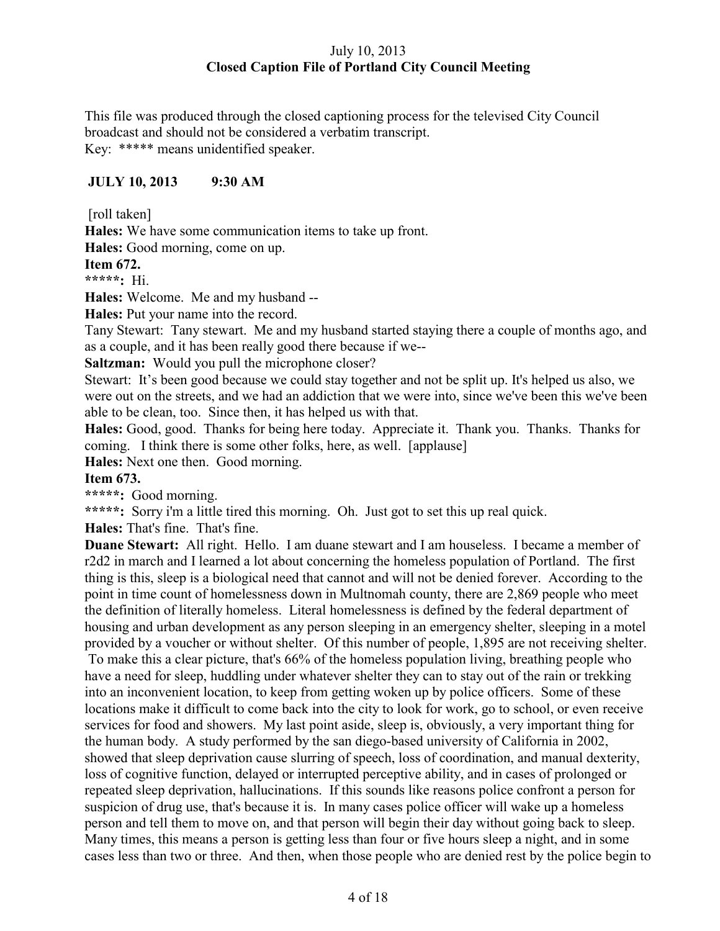## July 10, 2013 **Closed Caption File of Portland City Council Meeting**

This file was produced through the closed captioning process for the televised City Council broadcast and should not be considered a verbatim transcript. Key: \*\*\*\*\* means unidentified speaker.

## **JULY 10, 2013 9:30 AM**

[roll taken]

**Hales:** We have some communication items to take up front.

**Hales:** Good morning, come on up.

**Item 672.**

**\*\*\*\*\*:** Hi.

**Hales:** Welcome. Me and my husband --

**Hales:** Put your name into the record.

Tany Stewart: Tany stewart. Me and my husband started staying there a couple of months ago, and as a couple, and it has been really good there because if we--

**Saltzman:** Would you pull the microphone closer?

Stewart: It's been good because we could stay together and not be split up. It's helped us also, we were out on the streets, and we had an addiction that we were into, since we've been this we've been able to be clean, too. Since then, it has helped us with that.

**Hales:** Good, good. Thanks for being here today. Appreciate it. Thank you. Thanks. Thanks for coming. I think there is some other folks, here, as well. [applause]

**Hales:** Next one then. Good morning.

## **Item 673.**

**\*\*\*\*\*:** Good morning.

**\*\*\*\*\*:** Sorry i'm a little tired this morning. Oh. Just got to set this up real quick.

**Hales:** That's fine. That's fine.

**Duane Stewart:** All right. Hello. I am duane stewart and I am houseless. I became a member of r2d2 in march and I learned a lot about concerning the homeless population of Portland. The first thing is this, sleep is a biological need that cannot and will not be denied forever. According to the point in time count of homelessness down in Multnomah county, there are 2,869 people who meet the definition of literally homeless. Literal homelessness is defined by the federal department of housing and urban development as any person sleeping in an emergency shelter, sleeping in a motel provided by a voucher or without shelter. Of this number of people, 1,895 are not receiving shelter.

To make this a clear picture, that's 66% of the homeless population living, breathing people who have a need for sleep, huddling under whatever shelter they can to stay out of the rain or trekking into an inconvenient location, to keep from getting woken up by police officers. Some of these locations make it difficult to come back into the city to look for work, go to school, or even receive services for food and showers. My last point aside, sleep is, obviously, a very important thing for the human body. A study performed by the san diego-based university of California in 2002, showed that sleep deprivation cause slurring of speech, loss of coordination, and manual dexterity, loss of cognitive function, delayed or interrupted perceptive ability, and in cases of prolonged or repeated sleep deprivation, hallucinations. If this sounds like reasons police confront a person for suspicion of drug use, that's because it is. In many cases police officer will wake up a homeless person and tell them to move on, and that person will begin their day without going back to sleep. Many times, this means a person is getting less than four or five hours sleep a night, and in some cases less than two or three. And then, when those people who are denied rest by the police begin to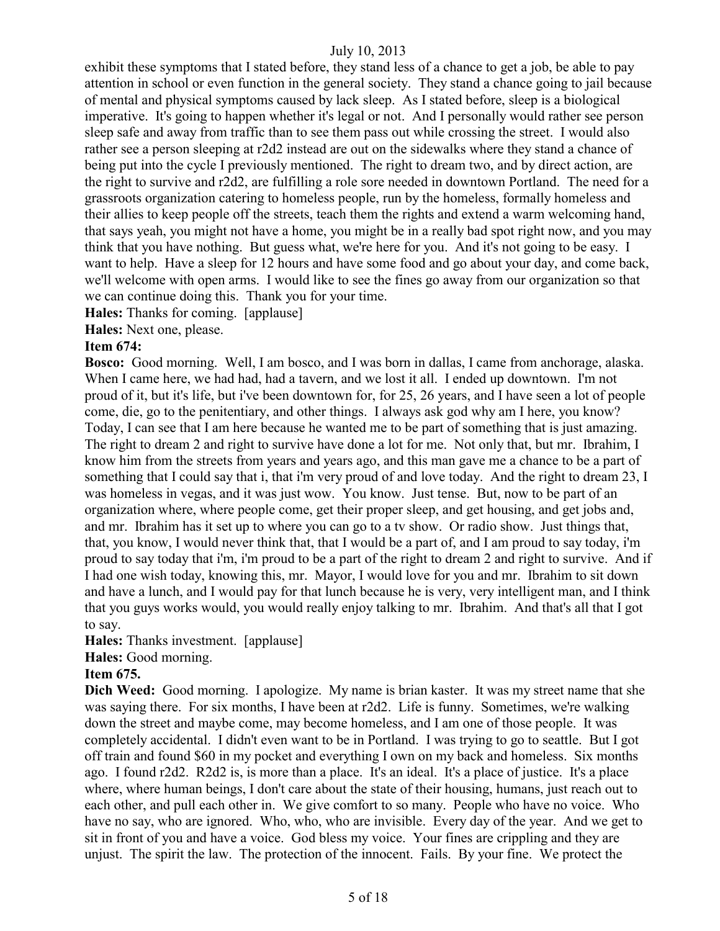exhibit these symptoms that I stated before, they stand less of a chance to get a job, be able to pay attention in school or even function in the general society. They stand a chance going to jail because of mental and physical symptoms caused by lack sleep. As I stated before, sleep is a biological imperative. It's going to happen whether it's legal or not. And I personally would rather see person sleep safe and away from traffic than to see them pass out while crossing the street. I would also rather see a person sleeping at r2d2 instead are out on the sidewalks where they stand a chance of being put into the cycle I previously mentioned. The right to dream two, and by direct action, are the right to survive and r2d2, are fulfilling a role sore needed in downtown Portland. The need for a grassroots organization catering to homeless people, run by the homeless, formally homeless and their allies to keep people off the streets, teach them the rights and extend a warm welcoming hand, that says yeah, you might not have a home, you might be in a really bad spot right now, and you may think that you have nothing. But guess what, we're here for you. And it's not going to be easy. I want to help. Have a sleep for 12 hours and have some food and go about your day, and come back, we'll welcome with open arms. I would like to see the fines go away from our organization so that we can continue doing this. Thank you for your time.

**Hales:** Thanks for coming. [applause]

**Hales:** Next one, please.

#### **Item 674:**

**Bosco:** Good morning. Well, I am bosco, and I was born in dallas, I came from anchorage, alaska. When I came here, we had had, had a tavern, and we lost it all. I ended up downtown. I'm not proud of it, but it's life, but i've been downtown for, for 25, 26 years, and I have seen a lot of people come, die, go to the penitentiary, and other things. I always ask god why am I here, you know? Today, I can see that I am here because he wanted me to be part of something that is just amazing. The right to dream 2 and right to survive have done a lot for me. Not only that, but mr. Ibrahim, I know him from the streets from years and years ago, and this man gave me a chance to be a part of something that I could say that i, that i'm very proud of and love today. And the right to dream 23, I was homeless in vegas, and it was just wow. You know. Just tense. But, now to be part of an organization where, where people come, get their proper sleep, and get housing, and get jobs and, and mr. Ibrahim has it set up to where you can go to a tv show. Or radio show. Just things that, that, you know, I would never think that, that I would be a part of, and I am proud to say today, i'm proud to say today that i'm, i'm proud to be a part of the right to dream 2 and right to survive. And if I had one wish today, knowing this, mr. Mayor, I would love for you and mr. Ibrahim to sit down and have a lunch, and I would pay for that lunch because he is very, very intelligent man, and I think that you guys works would, you would really enjoy talking to mr. Ibrahim. And that's all that I got to say.

**Hales:** Thanks investment. [applause]

**Hales:** Good morning.

#### **Item 675.**

**Dich Weed:** Good morning. I apologize. My name is brian kaster. It was my street name that she was saying there. For six months, I have been at r2d2. Life is funny. Sometimes, we're walking down the street and maybe come, may become homeless, and I am one of those people. It was completely accidental. I didn't even want to be in Portland. I was trying to go to seattle. But I got off train and found \$60 in my pocket and everything I own on my back and homeless. Six months ago. I found r2d2. R2d2 is, is more than a place. It's an ideal. It's a place of justice. It's a place where, where human beings, I don't care about the state of their housing, humans, just reach out to each other, and pull each other in. We give comfort to so many. People who have no voice. Who have no say, who are ignored. Who, who, who are invisible. Every day of the year. And we get to sit in front of you and have a voice. God bless my voice. Your fines are crippling and they are unjust. The spirit the law. The protection of the innocent. Fails. By your fine. We protect the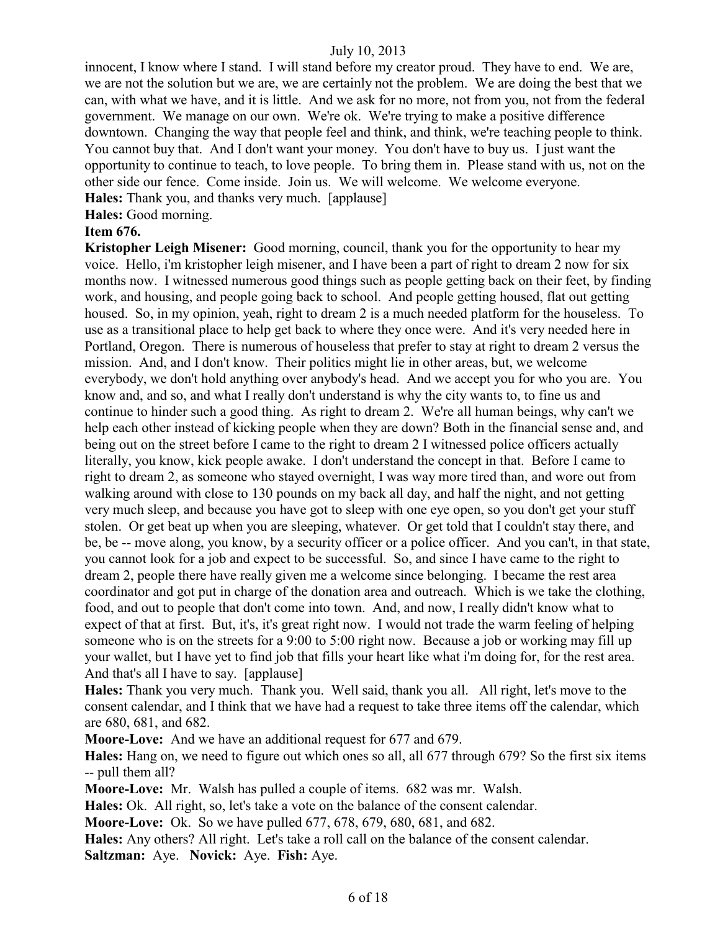innocent, I know where I stand. I will stand before my creator proud. They have to end. We are, we are not the solution but we are, we are certainly not the problem. We are doing the best that we can, with what we have, and it is little. And we ask for no more, not from you, not from the federal government. We manage on our own. We're ok. We're trying to make a positive difference downtown. Changing the way that people feel and think, and think, we're teaching people to think. You cannot buy that. And I don't want your money. You don't have to buy us. I just want the opportunity to continue to teach, to love people. To bring them in. Please stand with us, not on the other side our fence. Come inside. Join us. We will welcome. We welcome everyone. **Hales:** Thank you, and thanks very much. [applause]

**Hales:** Good morning.

#### **Item 676.**

**Kristopher Leigh Misener:** Good morning, council, thank you for the opportunity to hear my voice. Hello, i'm kristopher leigh misener, and I have been a part of right to dream 2 now for six months now. I witnessed numerous good things such as people getting back on their feet, by finding work, and housing, and people going back to school. And people getting housed, flat out getting housed. So, in my opinion, yeah, right to dream 2 is a much needed platform for the houseless. To use as a transitional place to help get back to where they once were. And it's very needed here in Portland, Oregon. There is numerous of houseless that prefer to stay at right to dream 2 versus the mission. And, and I don't know. Their politics might lie in other areas, but, we welcome everybody, we don't hold anything over anybody's head. And we accept you for who you are. You know and, and so, and what I really don't understand is why the city wants to, to fine us and continue to hinder such a good thing. As right to dream 2. We're all human beings, why can't we help each other instead of kicking people when they are down? Both in the financial sense and, and being out on the street before I came to the right to dream 2 I witnessed police officers actually literally, you know, kick people awake. I don't understand the concept in that. Before I came to right to dream 2, as someone who stayed overnight, I was way more tired than, and wore out from walking around with close to 130 pounds on my back all day, and half the night, and not getting very much sleep, and because you have got to sleep with one eye open, so you don't get your stuff stolen. Or get beat up when you are sleeping, whatever. Or get told that I couldn't stay there, and be, be -- move along, you know, by a security officer or a police officer. And you can't, in that state, you cannot look for a job and expect to be successful. So, and since I have came to the right to dream 2, people there have really given me a welcome since belonging. I became the rest area coordinator and got put in charge of the donation area and outreach. Which is we take the clothing, food, and out to people that don't come into town. And, and now, I really didn't know what to expect of that at first. But, it's, it's great right now. I would not trade the warm feeling of helping someone who is on the streets for a 9:00 to 5:00 right now. Because a job or working may fill up your wallet, but I have yet to find job that fills your heart like what i'm doing for, for the rest area. And that's all I have to say. [applause]

**Hales:** Thank you very much. Thank you. Well said, thank you all. All right, let's move to the consent calendar, and I think that we have had a request to take three items off the calendar, which are 680, 681, and 682.

**Moore-Love:** And we have an additional request for 677 and 679.

**Hales:** Hang on, we need to figure out which ones so all, all 677 through 679? So the first six items -- pull them all?

**Moore-Love:** Mr. Walsh has pulled a couple of items. 682 was mr. Walsh.

**Hales:** Ok. All right, so, let's take a vote on the balance of the consent calendar.

**Moore-Love:** Ok. So we have pulled 677, 678, 679, 680, 681, and 682.

**Hales:** Any others? All right. Let's take a roll call on the balance of the consent calendar. **Saltzman:** Aye. **Novick:** Aye. **Fish:** Aye.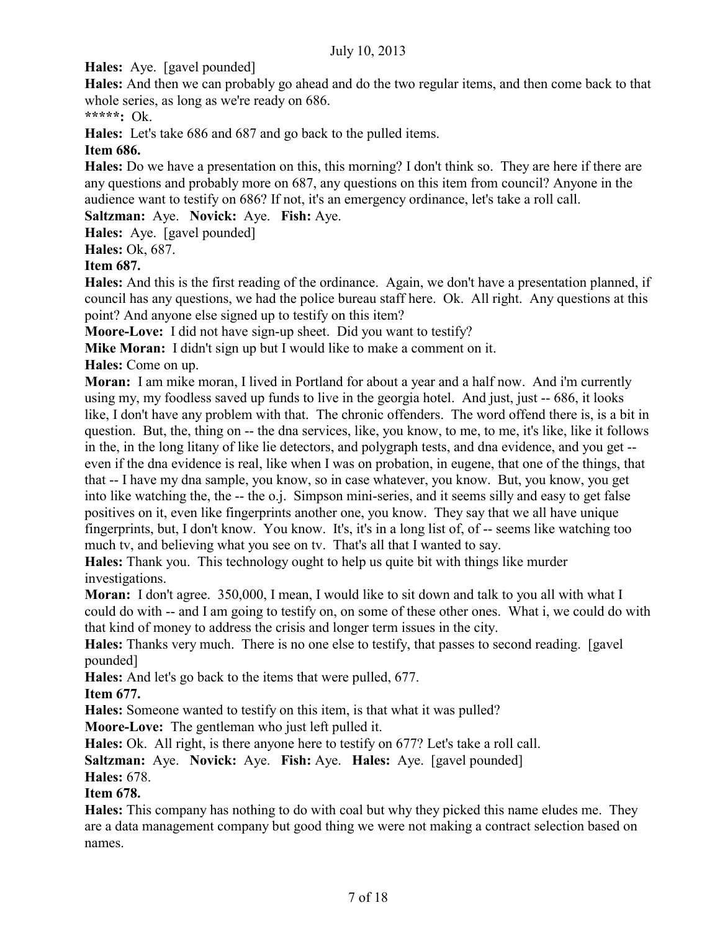**Hales:** Aye. [gavel pounded]

**Hales:** And then we can probably go ahead and do the two regular items, and then come back to that whole series, as long as we're ready on 686.

**\*\*\*\*\*:** Ok.

**Hales:** Let's take 686 and 687 and go back to the pulled items.

## **Item 686.**

**Hales:** Do we have a presentation on this, this morning? I don't think so. They are here if there are any questions and probably more on 687, any questions on this item from council? Anyone in the audience want to testify on 686? If not, it's an emergency ordinance, let's take a roll call.

## **Saltzman:** Aye. **Novick:** Aye. **Fish:** Aye.

**Hales:** Aye. [gavel pounded]

**Hales:** Ok, 687.

## **Item 687.**

**Hales:** And this is the first reading of the ordinance. Again, we don't have a presentation planned, if council has any questions, we had the police bureau staff here. Ok. All right. Any questions at this point? And anyone else signed up to testify on this item?

**Moore-Love:** I did not have sign-up sheet. Did you want to testify?

**Mike Moran:** I didn't sign up but I would like to make a comment on it.

**Hales:** Come on up.

**Moran:** I am mike moran, I lived in Portland for about a year and a half now. And i'm currently using my, my foodless saved up funds to live in the georgia hotel. And just, just -- 686, it looks like, I don't have any problem with that. The chronic offenders. The word offend there is, is a bit in question. But, the, thing on -- the dna services, like, you know, to me, to me, it's like, like it follows in the, in the long litany of like lie detectors, and polygraph tests, and dna evidence, and you get - even if the dna evidence is real, like when I was on probation, in eugene, that one of the things, that that -- I have my dna sample, you know, so in case whatever, you know. But, you know, you get into like watching the, the -- the o.j. Simpson mini-series, and it seems silly and easy to get false positives on it, even like fingerprints another one, you know. They say that we all have unique fingerprints, but, I don't know. You know. It's, it's in a long list of, of -- seems like watching too much tv, and believing what you see on tv. That's all that I wanted to say.

**Hales:** Thank you. This technology ought to help us quite bit with things like murder investigations.

**Moran:** I don't agree. 350,000, I mean, I would like to sit down and talk to you all with what I could do with -- and I am going to testify on, on some of these other ones. What i, we could do with that kind of money to address the crisis and longer term issues in the city.

**Hales:** Thanks very much. There is no one else to testify, that passes to second reading. [gavel pounded]

**Hales:** And let's go back to the items that were pulled, 677.

## **Item 677.**

**Hales:** Someone wanted to testify on this item, is that what it was pulled?

**Moore-Love:** The gentleman who just left pulled it.

**Hales:** Ok. All right, is there anyone here to testify on 677? Let's take a roll call.

**Saltzman:** Aye. **Novick:** Aye. **Fish:** Aye. **Hales:** Aye. [gavel pounded] **Hales:** 678.

## **Item 678.**

**Hales:** This company has nothing to do with coal but why they picked this name eludes me. They are a data management company but good thing we were not making a contract selection based on names.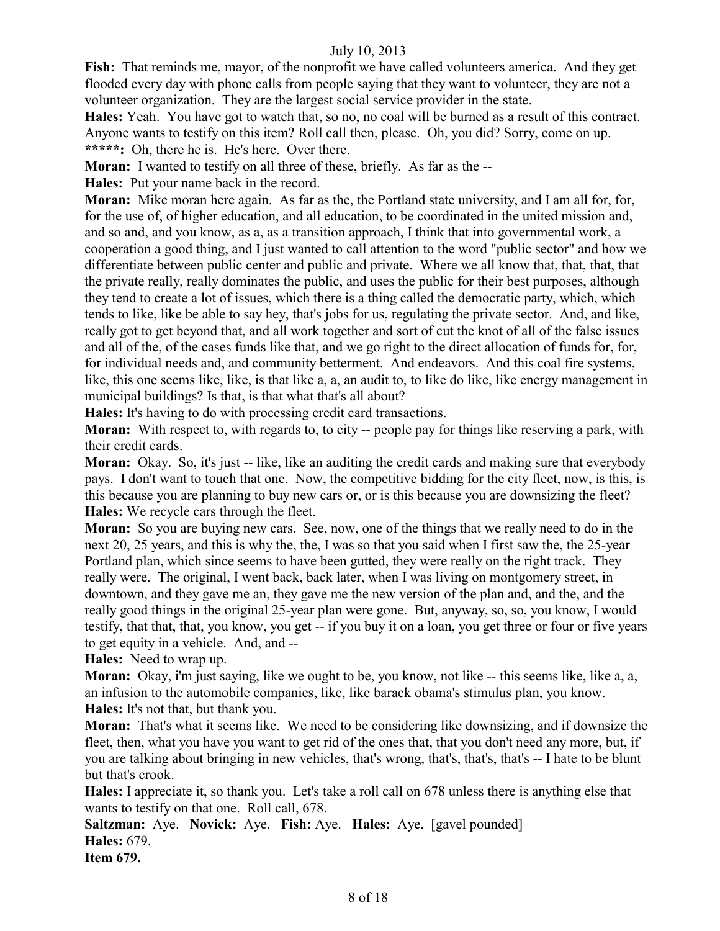**Fish:** That reminds me, mayor, of the nonprofit we have called volunteers america. And they get flooded every day with phone calls from people saying that they want to volunteer, they are not a volunteer organization. They are the largest social service provider in the state.

**Hales:** Yeah. You have got to watch that, so no, no coal will be burned as a result of this contract. Anyone wants to testify on this item? Roll call then, please. Oh, you did? Sorry, come on up. **\*\*\*\*\*:** Oh, there he is. He's here. Over there.

**Moran:** I wanted to testify on all three of these, briefly. As far as the --

**Hales:** Put your name back in the record.

**Moran:** Mike moran here again. As far as the, the Portland state university, and I am all for, for, for the use of, of higher education, and all education, to be coordinated in the united mission and, and so and, and you know, as a, as a transition approach, I think that into governmental work, a cooperation a good thing, and I just wanted to call attention to the word "public sector" and how we differentiate between public center and public and private. Where we all know that, that, that, that the private really, really dominates the public, and uses the public for their best purposes, although they tend to create a lot of issues, which there is a thing called the democratic party, which, which tends to like, like be able to say hey, that's jobs for us, regulating the private sector. And, and like, really got to get beyond that, and all work together and sort of cut the knot of all of the false issues and all of the, of the cases funds like that, and we go right to the direct allocation of funds for, for, for individual needs and, and community betterment. And endeavors. And this coal fire systems, like, this one seems like, like, is that like a, a, an audit to, to like do like, like energy management in municipal buildings? Is that, is that what that's all about?

**Hales:** It's having to do with processing credit card transactions.

**Moran:** With respect to, with regards to, to city -- people pay for things like reserving a park, with their credit cards.

**Moran:** Okay. So, it's just -- like, like an auditing the credit cards and making sure that everybody pays. I don't want to touch that one. Now, the competitive bidding for the city fleet, now, is this, is this because you are planning to buy new cars or, or is this because you are downsizing the fleet? **Hales:** We recycle cars through the fleet.

**Moran:** So you are buying new cars. See, now, one of the things that we really need to do in the next 20, 25 years, and this is why the, the, I was so that you said when I first saw the, the 25-year Portland plan, which since seems to have been gutted, they were really on the right track. They really were. The original, I went back, back later, when I was living on montgomery street, in downtown, and they gave me an, they gave me the new version of the plan and, and the, and the really good things in the original 25-year plan were gone. But, anyway, so, so, you know, I would testify, that that, that, you know, you get -- if you buy it on a loan, you get three or four or five years to get equity in a vehicle. And, and --

**Hales:** Need to wrap up.

**Moran:** Okay, i'm just saying, like we ought to be, you know, not like -- this seems like, like a, a, an infusion to the automobile companies, like, like barack obama's stimulus plan, you know. **Hales:** It's not that, but thank you.

**Moran:** That's what it seems like. We need to be considering like downsizing, and if downsize the fleet, then, what you have you want to get rid of the ones that, that you don't need any more, but, if you are talking about bringing in new vehicles, that's wrong, that's, that's, that's -- I hate to be blunt but that's crook.

**Hales:** I appreciate it, so thank you. Let's take a roll call on 678 unless there is anything else that wants to testify on that one. Roll call, 678.

**Saltzman:** Aye. **Novick:** Aye. **Fish:** Aye. **Hales:** Aye. [gavel pounded] **Hales:** 679.

**Item 679.**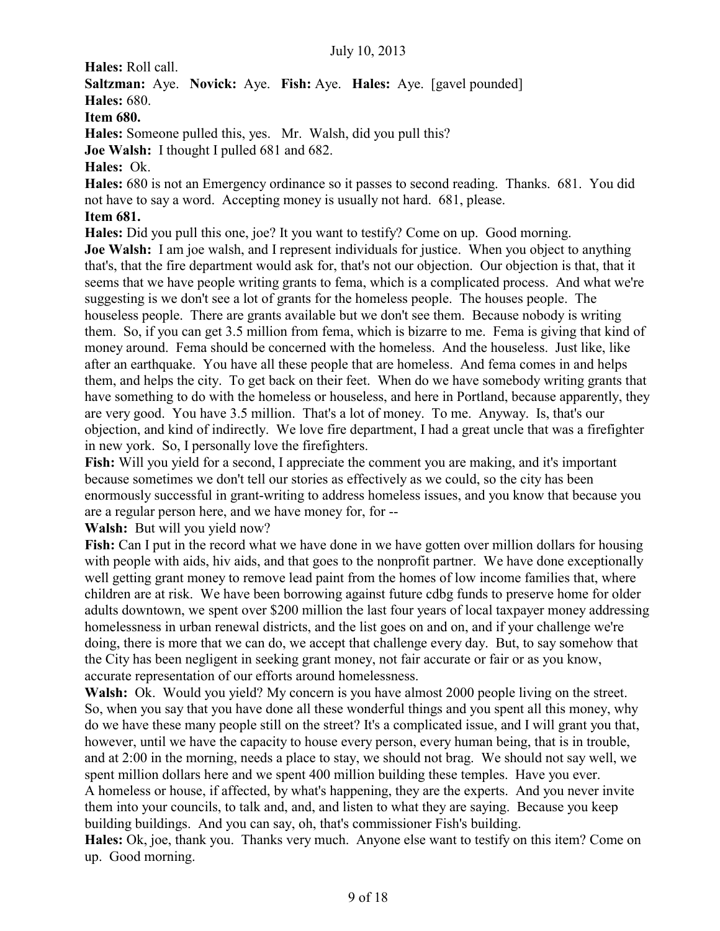**Hales:** Roll call.

**Saltzman:** Aye. **Novick:** Aye. **Fish:** Aye. **Hales:** Aye. [gavel pounded]

**Hales:** 680.

**Item 680.**

**Hales:** Someone pulled this, yes. Mr. Walsh, did you pull this?

**Joe Walsh:** I thought I pulled 681 and 682.

**Hales:** Ok.

**Hales:** 680 is not an Emergency ordinance so it passes to second reading. Thanks. 681. You did not have to say a word. Accepting money is usually not hard. 681, please.

## **Item 681.**

**Hales:** Did you pull this one, joe? It you want to testify? Come on up. Good morning.

**Joe Walsh:** I am joe walsh, and I represent individuals for justice. When you object to anything that's, that the fire department would ask for, that's not our objection. Our objection is that, that it seems that we have people writing grants to fema, which is a complicated process. And what we're suggesting is we don't see a lot of grants for the homeless people. The houses people. The houseless people. There are grants available but we don't see them. Because nobody is writing them. So, if you can get 3.5 million from fema, which is bizarre to me. Fema is giving that kind of money around. Fema should be concerned with the homeless. And the houseless. Just like, like after an earthquake. You have all these people that are homeless. And fema comes in and helps them, and helps the city. To get back on their feet. When do we have somebody writing grants that have something to do with the homeless or houseless, and here in Portland, because apparently, they are very good. You have 3.5 million. That's a lot of money. To me. Anyway. Is, that's our objection, and kind of indirectly. We love fire department, I had a great uncle that was a firefighter in new york. So, I personally love the firefighters.

**Fish:** Will you yield for a second, I appreciate the comment you are making, and it's important because sometimes we don't tell our stories as effectively as we could, so the city has been enormously successful in grant-writing to address homeless issues, and you know that because you are a regular person here, and we have money for, for --

**Walsh:** But will you yield now?

**Fish:** Can I put in the record what we have done in we have gotten over million dollars for housing with people with aids, hiv aids, and that goes to the nonprofit partner. We have done exceptionally well getting grant money to remove lead paint from the homes of low income families that, where children are at risk. We have been borrowing against future cdbg funds to preserve home for older adults downtown, we spent over \$200 million the last four years of local taxpayer money addressing homelessness in urban renewal districts, and the list goes on and on, and if your challenge we're doing, there is more that we can do, we accept that challenge every day. But, to say somehow that the City has been negligent in seeking grant money, not fair accurate or fair or as you know, accurate representation of our efforts around homelessness.

**Walsh:** Ok. Would you yield? My concern is you have almost 2000 people living on the street. So, when you say that you have done all these wonderful things and you spent all this money, why do we have these many people still on the street? It's a complicated issue, and I will grant you that, however, until we have the capacity to house every person, every human being, that is in trouble, and at 2:00 in the morning, needs a place to stay, we should not brag. We should not say well, we spent million dollars here and we spent 400 million building these temples. Have you ever.

A homeless or house, if affected, by what's happening, they are the experts. And you never invite them into your councils, to talk and, and, and listen to what they are saying. Because you keep building buildings. And you can say, oh, that's commissioner Fish's building.

**Hales:** Ok, joe, thank you. Thanks very much. Anyone else want to testify on this item? Come on up. Good morning.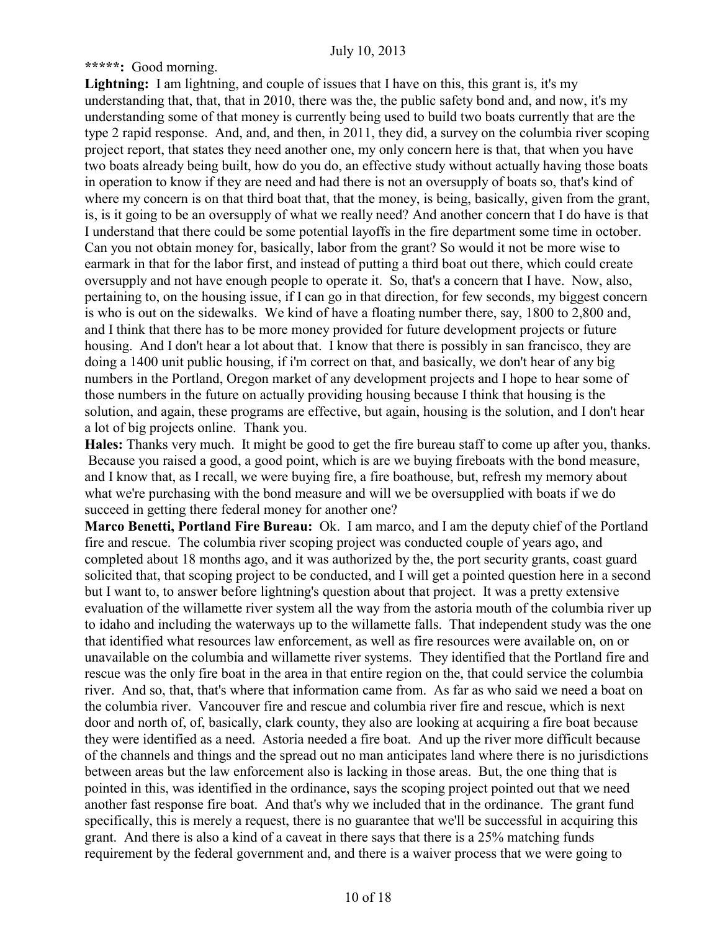**\*\*\*\*\*:** Good morning.

Lightning: I am lightning, and couple of issues that I have on this, this grant is, it's my understanding that, that, that in 2010, there was the, the public safety bond and, and now, it's my understanding some of that money is currently being used to build two boats currently that are the type 2 rapid response. And, and, and then, in 2011, they did, a survey on the columbia river scoping project report, that states they need another one, my only concern here is that, that when you have two boats already being built, how do you do, an effective study without actually having those boats in operation to know if they are need and had there is not an oversupply of boats so, that's kind of where my concern is on that third boat that, that the money, is being, basically, given from the grant, is, is it going to be an oversupply of what we really need? And another concern that I do have is that I understand that there could be some potential layoffs in the fire department some time in october. Can you not obtain money for, basically, labor from the grant? So would it not be more wise to earmark in that for the labor first, and instead of putting a third boat out there, which could create oversupply and not have enough people to operate it. So, that's a concern that I have. Now, also, pertaining to, on the housing issue, if I can go in that direction, for few seconds, my biggest concern is who is out on the sidewalks. We kind of have a floating number there, say, 1800 to 2,800 and, and I think that there has to be more money provided for future development projects or future housing. And I don't hear a lot about that. I know that there is possibly in san francisco, they are doing a 1400 unit public housing, if i'm correct on that, and basically, we don't hear of any big numbers in the Portland, Oregon market of any development projects and I hope to hear some of those numbers in the future on actually providing housing because I think that housing is the solution, and again, these programs are effective, but again, housing is the solution, and I don't hear a lot of big projects online. Thank you.

**Hales:** Thanks very much. It might be good to get the fire bureau staff to come up after you, thanks. Because you raised a good, a good point, which is are we buying fireboats with the bond measure, and I know that, as I recall, we were buying fire, a fire boathouse, but, refresh my memory about what we're purchasing with the bond measure and will we be oversupplied with boats if we do succeed in getting there federal money for another one?

**Marco Benetti, Portland Fire Bureau:** Ok. I am marco, and I am the deputy chief of the Portland fire and rescue. The columbia river scoping project was conducted couple of years ago, and completed about 18 months ago, and it was authorized by the, the port security grants, coast guard solicited that, that scoping project to be conducted, and I will get a pointed question here in a second but I want to, to answer before lightning's question about that project. It was a pretty extensive evaluation of the willamette river system all the way from the astoria mouth of the columbia river up to idaho and including the waterways up to the willamette falls. That independent study was the one that identified what resources law enforcement, as well as fire resources were available on, on or unavailable on the columbia and willamette river systems. They identified that the Portland fire and rescue was the only fire boat in the area in that entire region on the, that could service the columbia river. And so, that, that's where that information came from. As far as who said we need a boat on the columbia river. Vancouver fire and rescue and columbia river fire and rescue, which is next door and north of, of, basically, clark county, they also are looking at acquiring a fire boat because they were identified as a need. Astoria needed a fire boat. And up the river more difficult because of the channels and things and the spread out no man anticipates land where there is no jurisdictions between areas but the law enforcement also is lacking in those areas. But, the one thing that is pointed in this, was identified in the ordinance, says the scoping project pointed out that we need another fast response fire boat. And that's why we included that in the ordinance. The grant fund specifically, this is merely a request, there is no guarantee that we'll be successful in acquiring this grant. And there is also a kind of a caveat in there says that there is a 25% matching funds requirement by the federal government and, and there is a waiver process that we were going to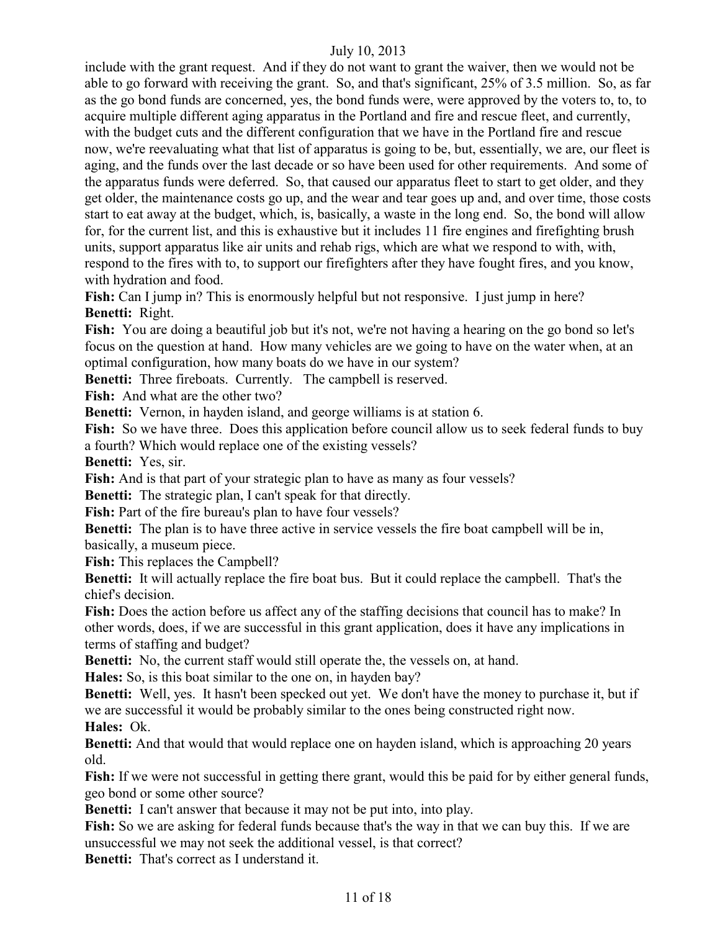include with the grant request. And if they do not want to grant the waiver, then we would not be able to go forward with receiving the grant. So, and that's significant, 25% of 3.5 million. So, as far as the go bond funds are concerned, yes, the bond funds were, were approved by the voters to, to, to acquire multiple different aging apparatus in the Portland and fire and rescue fleet, and currently, with the budget cuts and the different configuration that we have in the Portland fire and rescue now, we're reevaluating what that list of apparatus is going to be, but, essentially, we are, our fleet is aging, and the funds over the last decade or so have been used for other requirements. And some of the apparatus funds were deferred. So, that caused our apparatus fleet to start to get older, and they get older, the maintenance costs go up, and the wear and tear goes up and, and over time, those costs start to eat away at the budget, which, is, basically, a waste in the long end. So, the bond will allow for, for the current list, and this is exhaustive but it includes 11 fire engines and firefighting brush units, support apparatus like air units and rehab rigs, which are what we respond to with, with, respond to the fires with to, to support our firefighters after they have fought fires, and you know, with hydration and food.

**Fish:** Can I jump in? This is enormously helpful but not responsive. I just jump in here? **Benetti:** Right.

**Fish:** You are doing a beautiful job but it's not, we're not having a hearing on the go bond so let's focus on the question at hand. How many vehicles are we going to have on the water when, at an optimal configuration, how many boats do we have in our system?

**Benetti:** Three fireboats. Currently. The campbell is reserved.

**Fish:** And what are the other two?

**Benetti:** Vernon, in hayden island, and george williams is at station 6.

Fish: So we have three. Does this application before council allow us to seek federal funds to buy a fourth? Which would replace one of the existing vessels?

**Benetti:** Yes, sir.

**Fish:** And is that part of your strategic plan to have as many as four vessels?

**Benetti:** The strategic plan, I can't speak for that directly.

**Fish:** Part of the fire bureau's plan to have four vessels?

**Benetti:** The plan is to have three active in service vessels the fire boat campbell will be in, basically, a museum piece.

**Fish:** This replaces the Campbell?

**Benetti:** It will actually replace the fire boat bus. But it could replace the campbell. That's the chief's decision.

**Fish:** Does the action before us affect any of the staffing decisions that council has to make? In other words, does, if we are successful in this grant application, does it have any implications in terms of staffing and budget?

**Benetti:** No, the current staff would still operate the, the vessels on, at hand.

**Hales:** So, is this boat similar to the one on, in hayden bay?

**Benetti:** Well, yes. It hasn't been specked out yet. We don't have the money to purchase it, but if we are successful it would be probably similar to the ones being constructed right now.

**Hales:** Ok.

**Benetti:** And that would that would replace one on hayden island, which is approaching 20 years old.

**Fish:** If we were not successful in getting there grant, would this be paid for by either general funds, geo bond or some other source?

**Benetti:** I can't answer that because it may not be put into, into play.

**Fish:** So we are asking for federal funds because that's the way in that we can buy this. If we are unsuccessful we may not seek the additional vessel, is that correct?

**Benetti:** That's correct as I understand it.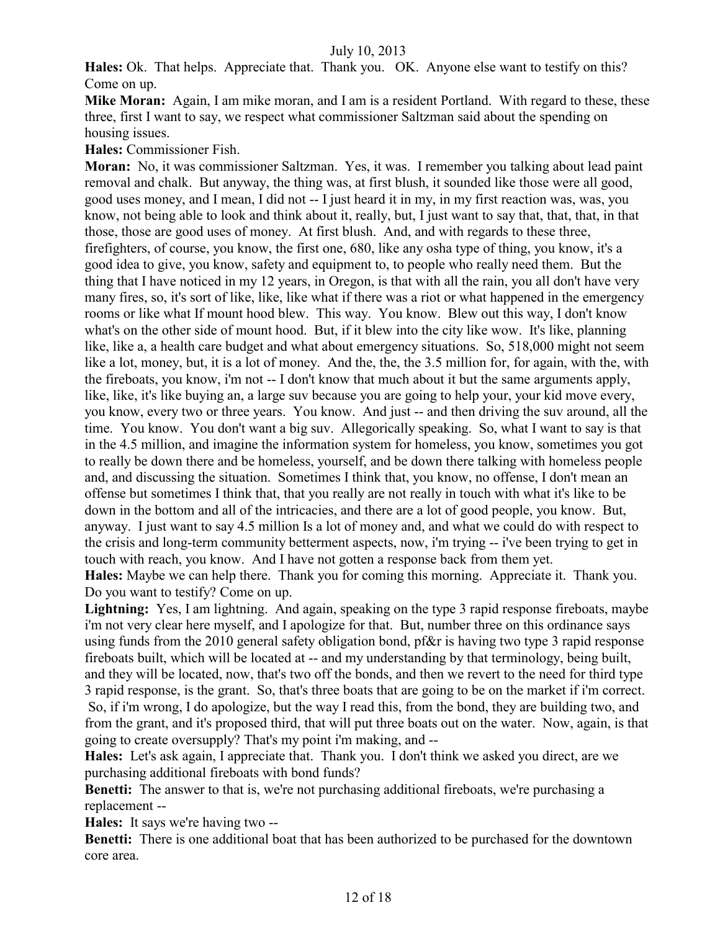**Hales:** Ok. That helps. Appreciate that. Thank you. OK. Anyone else want to testify on this? Come on up.

**Mike Moran:** Again, I am mike moran, and I am is a resident Portland. With regard to these, these three, first I want to say, we respect what commissioner Saltzman said about the spending on housing issues.

**Hales:** Commissioner Fish.

**Moran:** No, it was commissioner Saltzman. Yes, it was. I remember you talking about lead paint removal and chalk. But anyway, the thing was, at first blush, it sounded like those were all good, good uses money, and I mean, I did not -- I just heard it in my, in my first reaction was, was, you know, not being able to look and think about it, really, but, I just want to say that, that, that, in that those, those are good uses of money. At first blush. And, and with regards to these three, firefighters, of course, you know, the first one, 680, like any osha type of thing, you know, it's a good idea to give, you know, safety and equipment to, to people who really need them. But the thing that I have noticed in my 12 years, in Oregon, is that with all the rain, you all don't have very many fires, so, it's sort of like, like, like what if there was a riot or what happened in the emergency rooms or like what If mount hood blew. This way. You know. Blew out this way, I don't know what's on the other side of mount hood. But, if it blew into the city like wow. It's like, planning like, like a, a health care budget and what about emergency situations. So, 518,000 might not seem like a lot, money, but, it is a lot of money. And the, the, the 3.5 million for, for again, with the, with the fireboats, you know, i'm not -- I don't know that much about it but the same arguments apply, like, like, it's like buying an, a large suv because you are going to help your, your kid move every, you know, every two or three years. You know. And just -- and then driving the suv around, all the time. You know. You don't want a big suv. Allegorically speaking. So, what I want to say is that in the 4.5 million, and imagine the information system for homeless, you know, sometimes you got to really be down there and be homeless, yourself, and be down there talking with homeless people and, and discussing the situation. Sometimes I think that, you know, no offense, I don't mean an offense but sometimes I think that, that you really are not really in touch with what it's like to be down in the bottom and all of the intricacies, and there are a lot of good people, you know. But, anyway. I just want to say 4.5 million Is a lot of money and, and what we could do with respect to the crisis and long-term community betterment aspects, now, i'm trying -- i've been trying to get in touch with reach, you know. And I have not gotten a response back from them yet. **Hales:** Maybe we can help there. Thank you for coming this morning. Appreciate it. Thank you.

Do you want to testify? Come on up.

Lightning: Yes, I am lightning. And again, speaking on the type 3 rapid response fireboats, maybe i'm not very clear here myself, and I apologize for that. But, number three on this ordinance says using funds from the 2010 general safety obligation bond, pf&r is having two type 3 rapid response fireboats built, which will be located at -- and my understanding by that terminology, being built, and they will be located, now, that's two off the bonds, and then we revert to the need for third type 3 rapid response, is the grant. So, that's three boats that are going to be on the market if i'm correct. So, if i'm wrong, I do apologize, but the way I read this, from the bond, they are building two, and from the grant, and it's proposed third, that will put three boats out on the water. Now, again, is that going to create oversupply? That's my point i'm making, and --

**Hales:** Let's ask again, I appreciate that. Thank you. I don't think we asked you direct, are we purchasing additional fireboats with bond funds?

**Benetti:** The answer to that is, we're not purchasing additional fireboats, we're purchasing a replacement --

**Hales:** It says we're having two --

**Benetti:** There is one additional boat that has been authorized to be purchased for the downtown core area.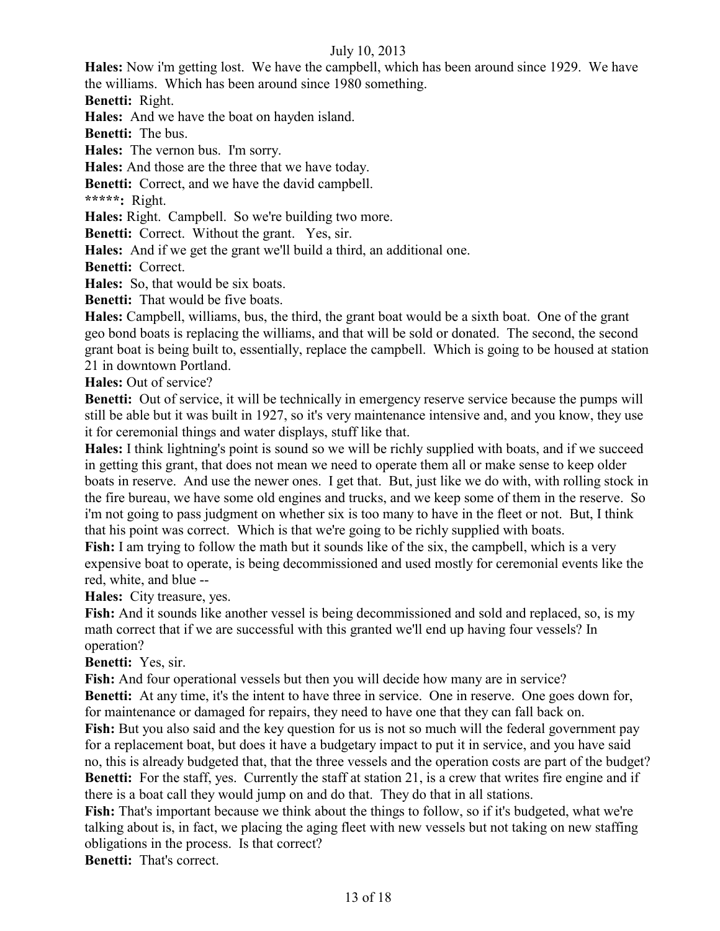**Hales:** Now i'm getting lost. We have the campbell, which has been around since 1929. We have the williams. Which has been around since 1980 something.

**Benetti:** Right.

**Hales:** And we have the boat on hayden island.

**Benetti:** The bus.

**Hales:** The vernon bus. I'm sorry.

**Hales:** And those are the three that we have today.

**Benetti:** Correct, and we have the david campbell.

**\*\*\*\*\*:** Right.

**Hales:** Right. Campbell. So we're building two more.

**Benetti:** Correct. Without the grant. Yes, sir.

**Hales:** And if we get the grant we'll build a third, an additional one.

**Benetti:** Correct.

**Hales:** So, that would be six boats.

**Benetti:** That would be five boats.

**Hales:** Campbell, williams, bus, the third, the grant boat would be a sixth boat. One of the grant geo bond boats is replacing the williams, and that will be sold or donated. The second, the second grant boat is being built to, essentially, replace the campbell. Which is going to be housed at station 21 in downtown Portland.

**Hales:** Out of service?

**Benetti:** Out of service, it will be technically in emergency reserve service because the pumps will still be able but it was built in 1927, so it's very maintenance intensive and, and you know, they use it for ceremonial things and water displays, stuff like that.

**Hales:** I think lightning's point is sound so we will be richly supplied with boats, and if we succeed in getting this grant, that does not mean we need to operate them all or make sense to keep older boats in reserve. And use the newer ones. I get that. But, just like we do with, with rolling stock in the fire bureau, we have some old engines and trucks, and we keep some of them in the reserve. So i'm not going to pass judgment on whether six is too many to have in the fleet or not. But, I think that his point was correct. Which is that we're going to be richly supplied with boats.

**Fish:** I am trying to follow the math but it sounds like of the six, the campbell, which is a very expensive boat to operate, is being decommissioned and used mostly for ceremonial events like the red, white, and blue --

**Hales:** City treasure, yes.

**Fish:** And it sounds like another vessel is being decommissioned and sold and replaced, so, is my math correct that if we are successful with this granted we'll end up having four vessels? In operation?

**Benetti:** Yes, sir.

**Fish:** And four operational vessels but then you will decide how many are in service? **Benetti:** At any time, it's the intent to have three in service. One in reserve. One goes down for, for maintenance or damaged for repairs, they need to have one that they can fall back on.

**Fish:** But you also said and the key question for us is not so much will the federal government pay for a replacement boat, but does it have a budgetary impact to put it in service, and you have said no, this is already budgeted that, that the three vessels and the operation costs are part of the budget? **Benetti:** For the staff, yes. Currently the staff at station 21, is a crew that writes fire engine and if there is a boat call they would jump on and do that. They do that in all stations.

**Fish:** That's important because we think about the things to follow, so if it's budgeted, what we're talking about is, in fact, we placing the aging fleet with new vessels but not taking on new staffing obligations in the process. Is that correct?

**Benetti:** That's correct.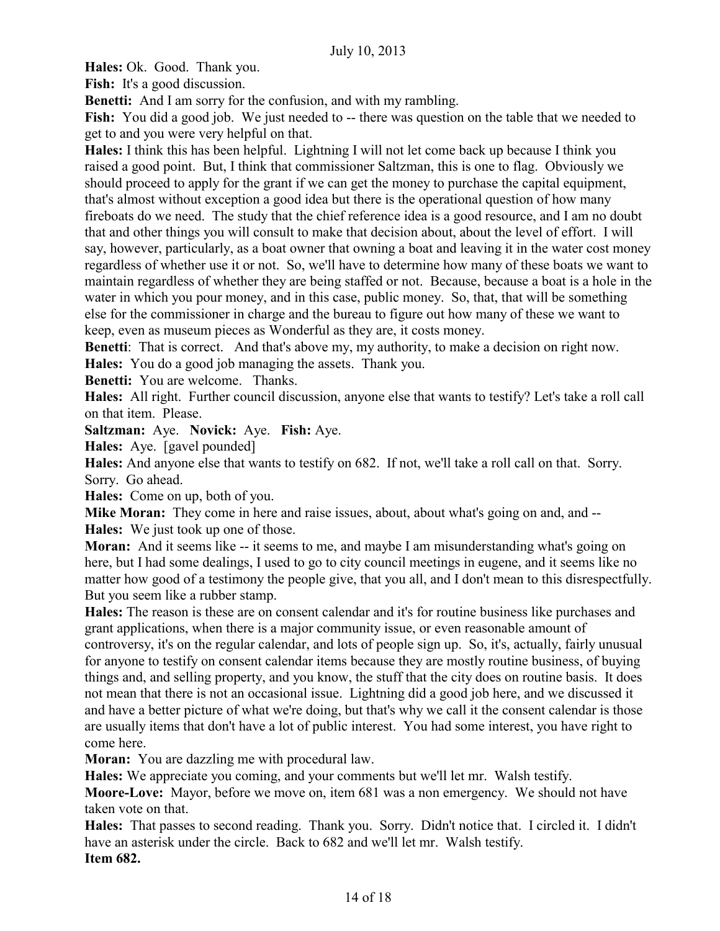**Hales:** Ok. Good. Thank you.

Fish: It's a good discussion.

**Benetti:** And I am sorry for the confusion, and with my rambling.

**Fish:** You did a good job. We just needed to -- there was question on the table that we needed to get to and you were very helpful on that.

**Hales:** I think this has been helpful. Lightning I will not let come back up because I think you raised a good point. But, I think that commissioner Saltzman, this is one to flag. Obviously we should proceed to apply for the grant if we can get the money to purchase the capital equipment, that's almost without exception a good idea but there is the operational question of how many fireboats do we need. The study that the chief reference idea is a good resource, and I am no doubt that and other things you will consult to make that decision about, about the level of effort. I will say, however, particularly, as a boat owner that owning a boat and leaving it in the water cost money regardless of whether use it or not. So, we'll have to determine how many of these boats we want to maintain regardless of whether they are being staffed or not. Because, because a boat is a hole in the water in which you pour money, and in this case, public money. So, that, that will be something else for the commissioner in charge and the bureau to figure out how many of these we want to keep, even as museum pieces as Wonderful as they are, it costs money.

**Benetti:** That is correct. And that's above my, my authority, to make a decision on right now. **Hales:** You do a good job managing the assets. Thank you.

**Benetti:** You are welcome. Thanks.

**Hales:** All right. Further council discussion, anyone else that wants to testify? Let's take a roll call on that item. Please.

**Saltzman:** Aye. **Novick:** Aye. **Fish:** Aye.

**Hales:** Aye. [gavel pounded]

**Hales:** And anyone else that wants to testify on 682. If not, we'll take a roll call on that. Sorry. Sorry. Go ahead.

**Hales:** Come on up, both of you.

**Mike Moran:** They come in here and raise issues, about, about what's going on and, and -- **Hales:** We just took up one of those.

**Moran:** And it seems like -- it seems to me, and maybe I am misunderstanding what's going on here, but I had some dealings, I used to go to city council meetings in eugene, and it seems like no matter how good of a testimony the people give, that you all, and I don't mean to this disrespectfully. But you seem like a rubber stamp.

**Hales:** The reason is these are on consent calendar and it's for routine business like purchases and grant applications, when there is a major community issue, or even reasonable amount of controversy, it's on the regular calendar, and lots of people sign up. So, it's, actually, fairly unusual for anyone to testify on consent calendar items because they are mostly routine business, of buying things and, and selling property, and you know, the stuff that the city does on routine basis. It does not mean that there is not an occasional issue. Lightning did a good job here, and we discussed it and have a better picture of what we're doing, but that's why we call it the consent calendar is those are usually items that don't have a lot of public interest. You had some interest, you have right to come here.

**Moran:** You are dazzling me with procedural law.

**Hales:** We appreciate you coming, and your comments but we'll let mr. Walsh testify.

**Moore-Love:** Mayor, before we move on, item 681 was a non emergency. We should not have taken vote on that.

**Hales:** That passes to second reading. Thank you. Sorry. Didn't notice that. I circled it. I didn't have an asterisk under the circle. Back to 682 and we'll let mr. Walsh testify. **Item 682.**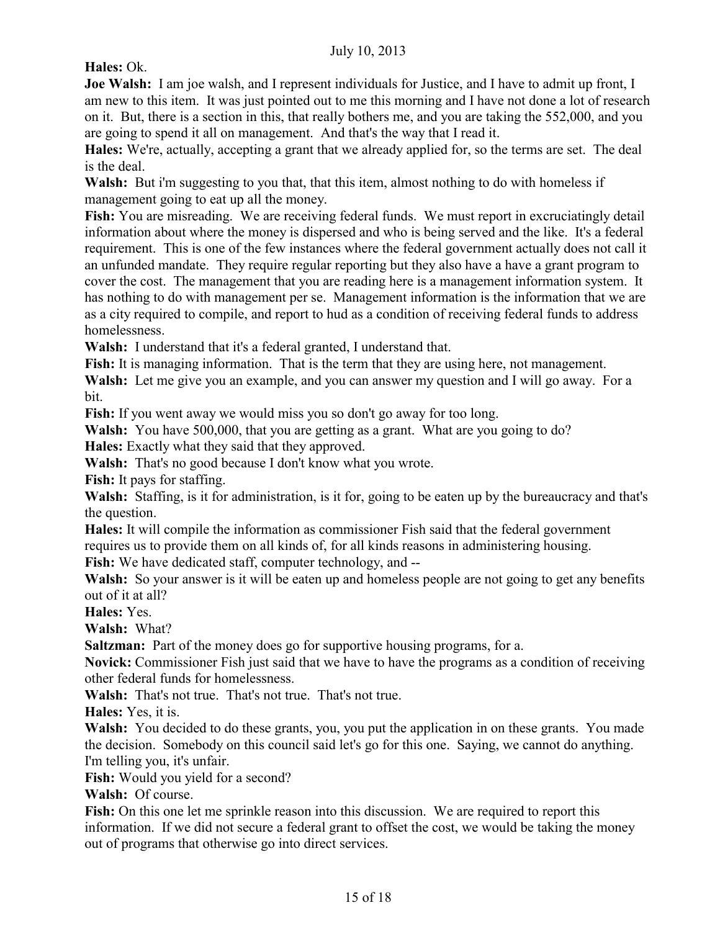**Hales:** Ok.

**Joe Walsh:** I am joe walsh, and I represent individuals for Justice, and I have to admit up front, I am new to this item. It was just pointed out to me this morning and I have not done a lot of research on it. But, there is a section in this, that really bothers me, and you are taking the 552,000, and you are going to spend it all on management. And that's the way that I read it.

**Hales:** We're, actually, accepting a grant that we already applied for, so the terms are set. The deal is the deal.

**Walsh:** But i'm suggesting to you that, that this item, almost nothing to do with homeless if management going to eat up all the money.

**Fish:** You are misreading. We are receiving federal funds. We must report in excruciatingly detail information about where the money is dispersed and who is being served and the like. It's a federal requirement. This is one of the few instances where the federal government actually does not call it an unfunded mandate. They require regular reporting but they also have a have a grant program to cover the cost. The management that you are reading here is a management information system. It has nothing to do with management per se. Management information is the information that we are as a city required to compile, and report to hud as a condition of receiving federal funds to address homelessness.

**Walsh:** I understand that it's a federal granted, I understand that.

Fish: It is managing information. That is the term that they are using here, not management.

**Walsh:** Let me give you an example, and you can answer my question and I will go away. For a bit.

**Fish:** If you went away we would miss you so don't go away for too long.

**Walsh:** You have 500,000, that you are getting as a grant. What are you going to do?

**Hales:** Exactly what they said that they approved.

**Walsh:** That's no good because I don't know what you wrote.

**Fish:** It pays for staffing.

**Walsh:** Staffing, is it for administration, is it for, going to be eaten up by the bureaucracy and that's the question.

**Hales:** It will compile the information as commissioner Fish said that the federal government requires us to provide them on all kinds of, for all kinds reasons in administering housing.

**Fish:** We have dedicated staff, computer technology, and --

**Walsh:** So your answer is it will be eaten up and homeless people are not going to get any benefits out of it at all?

**Hales:** Yes.

**Walsh:** What?

**Saltzman:** Part of the money does go for supportive housing programs, for a.

**Novick:** Commissioner Fish just said that we have to have the programs as a condition of receiving other federal funds for homelessness.

**Walsh:** That's not true. That's not true. That's not true.

**Hales:** Yes, it is.

**Walsh:** You decided to do these grants, you, you put the application in on these grants. You made the decision. Somebody on this council said let's go for this one. Saying, we cannot do anything. I'm telling you, it's unfair.

Fish: Would you yield for a second?

**Walsh:** Of course.

**Fish:** On this one let me sprinkle reason into this discussion. We are required to report this information. If we did not secure a federal grant to offset the cost, we would be taking the money out of programs that otherwise go into direct services.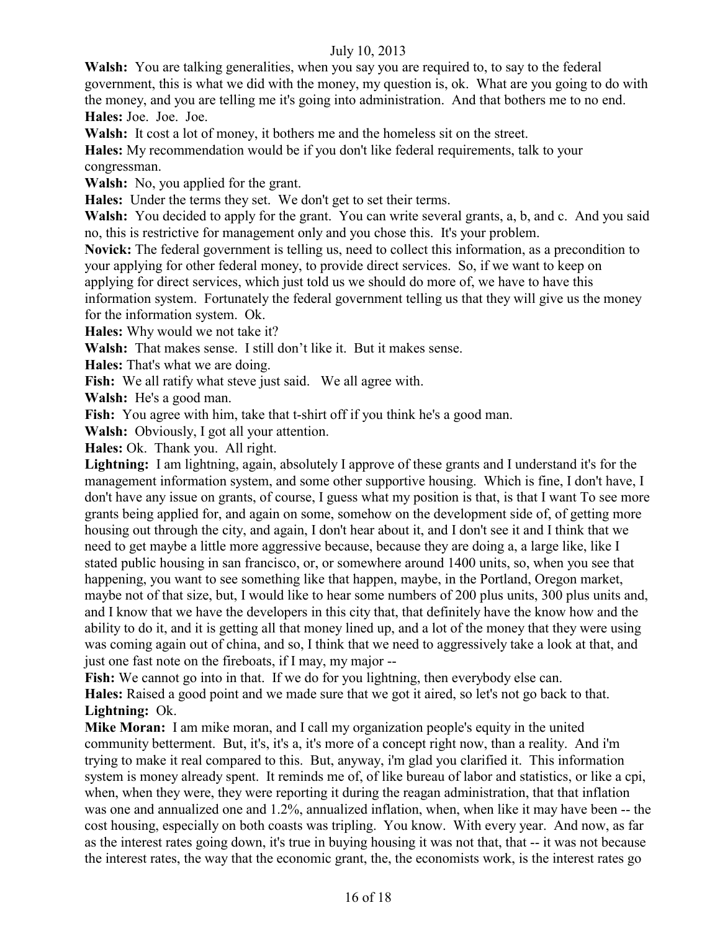**Walsh:** You are talking generalities, when you say you are required to, to say to the federal government, this is what we did with the money, my question is, ok. What are you going to do with the money, and you are telling me it's going into administration. And that bothers me to no end. **Hales:** Joe. Joe. Joe.

**Walsh:** It cost a lot of money, it bothers me and the homeless sit on the street.

**Hales:** My recommendation would be if you don't like federal requirements, talk to your congressman.

**Walsh:** No, you applied for the grant.

**Hales:** Under the terms they set. We don't get to set their terms.

**Walsh:** You decided to apply for the grant. You can write several grants, a, b, and c. And you said no, this is restrictive for management only and you chose this. It's your problem.

**Novick:** The federal government is telling us, need to collect this information, as a precondition to your applying for other federal money, to provide direct services. So, if we want to keep on applying for direct services, which just told us we should do more of, we have to have this information system. Fortunately the federal government telling us that they will give us the money for the information system. Ok.

**Hales:** Why would we not take it?

**Walsh:** That makes sense. I still don't like it. But it makes sense.

**Hales:** That's what we are doing.

**Fish:** We all ratify what steve just said. We all agree with.

**Walsh:** He's a good man.

Fish: You agree with him, take that t-shirt off if you think he's a good man.

**Walsh:** Obviously, I got all your attention.

**Hales:** Ok. Thank you. All right.

**Lightning:** I am lightning, again, absolutely I approve of these grants and I understand it's for the management information system, and some other supportive housing. Which is fine, I don't have, I don't have any issue on grants, of course, I guess what my position is that, is that I want To see more grants being applied for, and again on some, somehow on the development side of, of getting more housing out through the city, and again, I don't hear about it, and I don't see it and I think that we need to get maybe a little more aggressive because, because they are doing a, a large like, like I stated public housing in san francisco, or, or somewhere around 1400 units, so, when you see that happening, you want to see something like that happen, maybe, in the Portland, Oregon market, maybe not of that size, but, I would like to hear some numbers of 200 plus units, 300 plus units and, and I know that we have the developers in this city that, that definitely have the know how and the ability to do it, and it is getting all that money lined up, and a lot of the money that they were using was coming again out of china, and so, I think that we need to aggressively take a look at that, and just one fast note on the fireboats, if I may, my major --

Fish: We cannot go into in that. If we do for you lightning, then everybody else can. **Hales:** Raised a good point and we made sure that we got it aired, so let's not go back to that. **Lightning:** Ok.

**Mike Moran:** I am mike moran, and I call my organization people's equity in the united community betterment. But, it's, it's a, it's more of a concept right now, than a reality. And i'm trying to make it real compared to this. But, anyway, i'm glad you clarified it. This information system is money already spent. It reminds me of, of like bureau of labor and statistics, or like a cpi, when, when they were, they were reporting it during the reagan administration, that that inflation was one and annualized one and 1.2%, annualized inflation, when, when like it may have been -- the cost housing, especially on both coasts was tripling. You know. With every year. And now, as far as the interest rates going down, it's true in buying housing it was not that, that -- it was not because the interest rates, the way that the economic grant, the, the economists work, is the interest rates go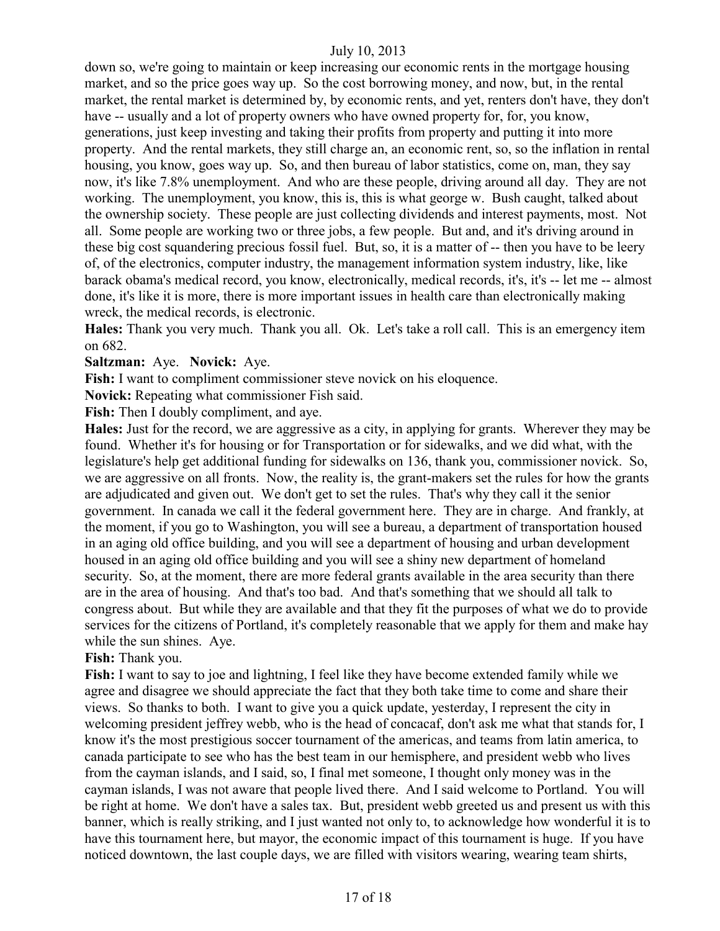down so, we're going to maintain or keep increasing our economic rents in the mortgage housing market, and so the price goes way up. So the cost borrowing money, and now, but, in the rental market, the rental market is determined by, by economic rents, and yet, renters don't have, they don't have -- usually and a lot of property owners who have owned property for, for, you know, generations, just keep investing and taking their profits from property and putting it into more property. And the rental markets, they still charge an, an economic rent, so, so the inflation in rental housing, you know, goes way up. So, and then bureau of labor statistics, come on, man, they say now, it's like 7.8% unemployment. And who are these people, driving around all day. They are not working. The unemployment, you know, this is, this is what george w. Bush caught, talked about the ownership society. These people are just collecting dividends and interest payments, most. Not all. Some people are working two or three jobs, a few people. But and, and it's driving around in these big cost squandering precious fossil fuel. But, so, it is a matter of -- then you have to be leery of, of the electronics, computer industry, the management information system industry, like, like barack obama's medical record, you know, electronically, medical records, it's, it's -- let me -- almost done, it's like it is more, there is more important issues in health care than electronically making wreck, the medical records, is electronic.

**Hales:** Thank you very much. Thank you all. Ok. Let's take a roll call. This is an emergency item on 682.

#### **Saltzman:** Aye. **Novick:** Aye.

**Fish:** I want to compliment commissioner steve novick on his eloquence.

**Novick:** Repeating what commissioner Fish said.

**Fish:** Then I doubly compliment, and aye.

**Hales:** Just for the record, we are aggressive as a city, in applying for grants. Wherever they may be found. Whether it's for housing or for Transportation or for sidewalks, and we did what, with the legislature's help get additional funding for sidewalks on 136, thank you, commissioner novick. So, we are aggressive on all fronts. Now, the reality is, the grant-makers set the rules for how the grants are adjudicated and given out. We don't get to set the rules. That's why they call it the senior government. In canada we call it the federal government here. They are in charge. And frankly, at the moment, if you go to Washington, you will see a bureau, a department of transportation housed in an aging old office building, and you will see a department of housing and urban development housed in an aging old office building and you will see a shiny new department of homeland security. So, at the moment, there are more federal grants available in the area security than there are in the area of housing. And that's too bad. And that's something that we should all talk to congress about. But while they are available and that they fit the purposes of what we do to provide services for the citizens of Portland, it's completely reasonable that we apply for them and make hay while the sun shines. Aye.

## **Fish:** Thank you.

**Fish:** I want to say to joe and lightning, I feel like they have become extended family while we agree and disagree we should appreciate the fact that they both take time to come and share their views. So thanks to both. I want to give you a quick update, yesterday, I represent the city in welcoming president jeffrey webb, who is the head of concacaf, don't ask me what that stands for, I know it's the most prestigious soccer tournament of the americas, and teams from latin america, to canada participate to see who has the best team in our hemisphere, and president webb who lives from the cayman islands, and I said, so, I final met someone, I thought only money was in the cayman islands, I was not aware that people lived there. And I said welcome to Portland. You will be right at home. We don't have a sales tax. But, president webb greeted us and present us with this banner, which is really striking, and I just wanted not only to, to acknowledge how wonderful it is to have this tournament here, but mayor, the economic impact of this tournament is huge. If you have noticed downtown, the last couple days, we are filled with visitors wearing, wearing team shirts,